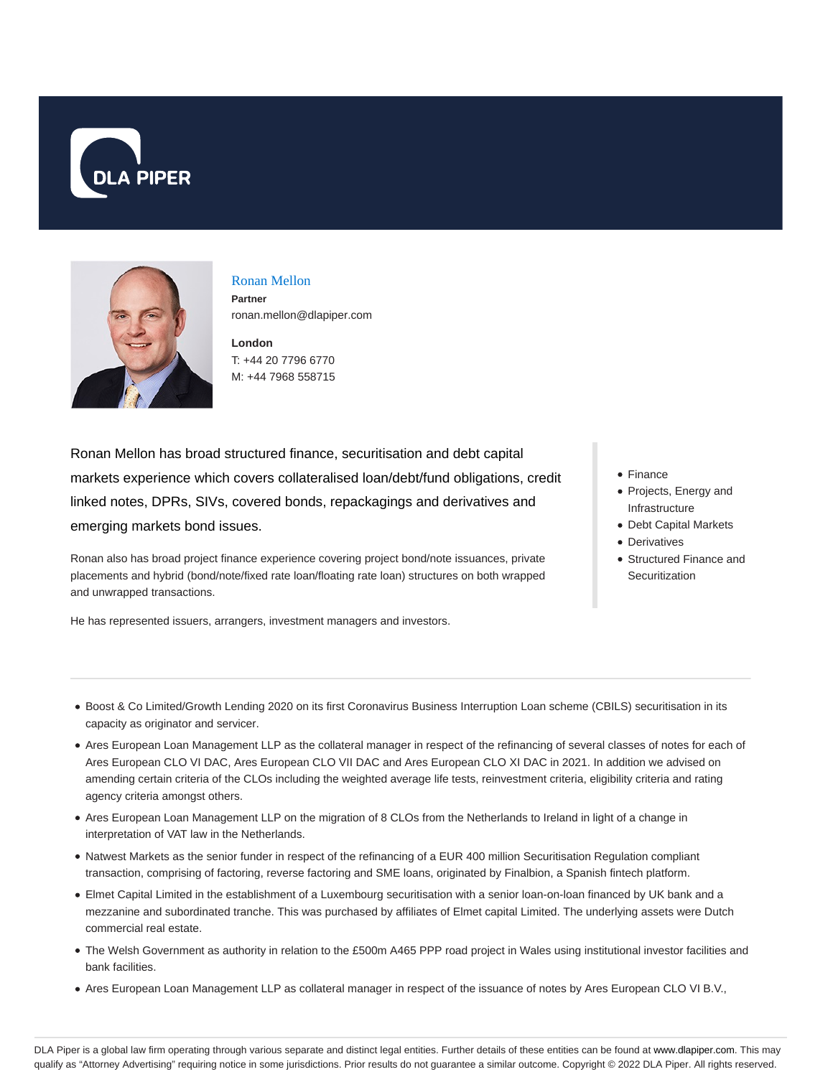



Ronan Mellon **Partner** ronan.mellon@dlapiper.com

**London** T: +44 20 7796 6770 M: +44 7968 558715

Ronan Mellon has broad structured finance, securitisation and debt capital markets experience which covers collateralised loan/debt/fund obligations, credit linked notes, DPRs, SIVs, covered bonds, repackagings and derivatives and emerging markets bond issues.

Ronan also has broad project finance experience covering project bond/note issuances, private placements and hybrid (bond/note/fixed rate loan/floating rate loan) structures on both wrapped and unwrapped transactions.

He has represented issuers, arrangers, investment managers and investors.

- Finance
- Projects, Energy and Infrastructure
- Debt Capital Markets
- Derivatives
- Structured Finance and **Securitization**

- Boost & Co Limited/Growth Lending 2020 on its first Coronavirus Business Interruption Loan scheme (CBILS) securitisation in its capacity as originator and servicer.
- Ares European Loan Management LLP as the collateral manager in respect of the refinancing of several classes of notes for each of Ares European CLO VI DAC, Ares European CLO VII DAC and Ares European CLO XI DAC in 2021. In addition we advised on amending certain criteria of the CLOs including the weighted average life tests, reinvestment criteria, eligibility criteria and rating agency criteria amongst others.
- Ares European Loan Management LLP on the migration of 8 CLOs from the Netherlands to Ireland in light of a change in interpretation of VAT law in the Netherlands.
- Natwest Markets as the senior funder in respect of the refinancing of a EUR 400 million Securitisation Regulation compliant transaction, comprising of factoring, reverse factoring and SME loans, originated by Finalbion, a Spanish fintech platform.
- Elmet Capital Limited in the establishment of a Luxembourg securitisation with a senior loan-on-loan financed by UK bank and a mezzanine and subordinated tranche. This was purchased by affiliates of Elmet capital Limited. The underlying assets were Dutch commercial real estate.
- The Welsh Government as authority in relation to the £500m A465 PPP road project in Wales using institutional investor facilities and bank facilities.
- Ares European Loan Management LLP as collateral manager in respect of the issuance of notes by Ares European CLO VI B.V.,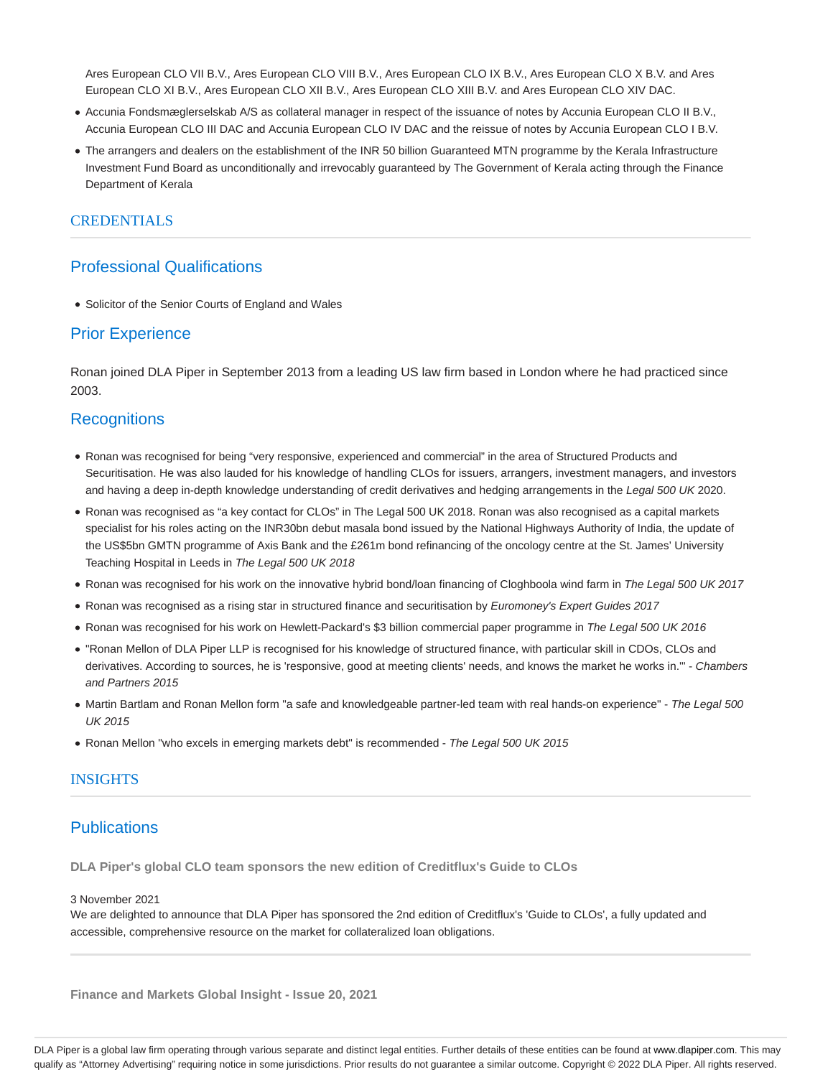Ares European CLO VII B.V., Ares European CLO VIII B.V., Ares European CLO IX B.V., Ares European CLO X B.V. and Ares European CLO XI B.V., Ares European CLO XII B.V., Ares European CLO XIII B.V. and Ares European CLO XIV DAC.

- Accunia Fondsmæglerselskab A/S as collateral manager in respect of the issuance of notes by Accunia European CLO II B.V., Accunia European CLO III DAC and Accunia European CLO IV DAC and the reissue of notes by Accunia European CLO I B.V.
- The arrangers and dealers on the establishment of the INR 50 billion Guaranteed MTN programme by the Kerala Infrastructure Investment Fund Board as unconditionally and irrevocably guaranteed by The Government of Kerala acting through the Finance Department of Kerala

## CREDENTIALS

# Professional Qualifications

Solicitor of the Senior Courts of England and Wales

## Prior Experience

Ronan joined DLA Piper in September 2013 from a leading US law firm based in London where he had practiced since 2003.

# **Recognitions**

- Ronan was recognised for being "very responsive, experienced and commercial" in the area of Structured Products and Securitisation. He was also lauded for his knowledge of handling CLOs for issuers, arrangers, investment managers, and investors and having a deep in-depth knowledge understanding of credit derivatives and hedging arrangements in the Legal 500 UK 2020.
- Ronan was recognised as "a key contact for CLOs" in The Legal 500 UK 2018. Ronan was also recognised as a capital markets specialist for his roles acting on the INR30bn debut masala bond issued by the National Highways Authority of India, the update of the US\$5bn GMTN programme of Axis Bank and the £261m bond refinancing of the oncology centre at the St. James' University Teaching Hospital in Leeds in The Legal 500 UK 2018
- Ronan was recognised for his work on the innovative hybrid bond/loan financing of Cloghboola wind farm in The Legal 500 UK 2017
- Ronan was recognised as a rising star in structured finance and securitisation by Euromoney's Expert Guides 2017
- Ronan was recognised for his work on Hewlett-Packard's \$3 billion commercial paper programme in The Legal 500 UK 2016
- "Ronan Mellon of DLA Piper LLP is recognised for his knowledge of structured finance, with particular skill in CDOs, CLOs and derivatives. According to sources, he is 'responsive, good at meeting clients' needs, and knows the market he works in." - Chambers and Partners 2015
- Martin Bartlam and Ronan Mellon form "a safe and knowledgeable partner-led team with real hands-on experience" The Legal 500 UK 2015
- Ronan Mellon "who excels in emerging markets debt" is recommended The Legal 500 UK 2015

### INSIGHTS

# **Publications**

**DLA Piper's global CLO team sponsors the new edition of Creditflux's Guide to CLOs**

3 November 2021

We are delighted to announce that DLA Piper has sponsored the 2nd edition of Creditflux's 'Guide to CLOs', a fully updated and accessible, comprehensive resource on the market for collateralized loan obligations.

**Finance and Markets Global Insight - Issue 20, 2021**